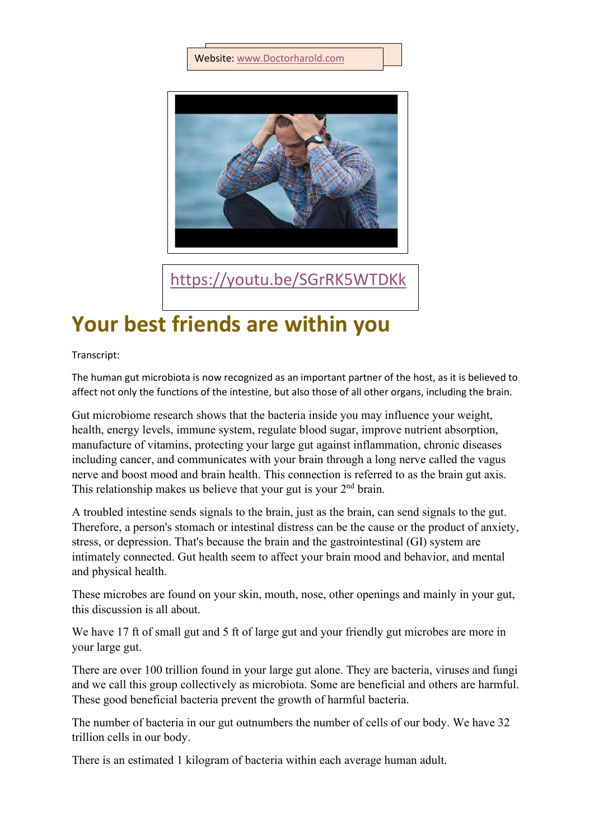## Website[:](http://www.doctorharold.com/) www.Doctorharold.com



<https://youtu.be/SGrRK5WTDKk>

## **Your best friends are within you**

Transcript:

The human gut microbiota is now recognized as an important partner of the host, as it is believed to affect not only the functions of the intestine, but also those of all other organs, including the brain.

Gut microbiome research shows that the bacteria inside you may influence your weight, health, energy levels, immune system, regulate blood sugar, improve nutrient absorption, manufacture of vitamins, protecting your large gut against inflammation, chronic diseases including cancer, and communicates with your brain through a long nerve called the vagus nerve and boost mood and brain health. This connection is referred to as the brain gut axis. This relationship makes us believe that your gut is your 2<sup>nd</sup> brain.

A troubled intestine sends signals to the brain, just as the brain, can send signals to the gut. Therefore, a person's stomach or intestinal distress can be the cause or the product of anxiety, stress, or depression. That's because the brain and the gastrointestinal (GI) system are intimately connected. Gut health seem to affect your brain mood and behavior, and mental and physical health.

These microbes are found on your skin, mouth, nose, other openings and mainly in your gut, this discussion is all about.

We have 17 ft of small gut and 5 ft of large gut and your friendly gut microbes are more in your large gut.

There are over 100 trillion found in your large gut alone. They are bacteria, viruses and fungi and we call this group collectively as microbiota. Some are beneficial and others are harmful. These good beneficial bacteria prevent the growth of harmful bacteria.

The number of bacteria in our gut outnumbers the number of cells of our body. We have 32 trillion cells in our body.

There is an estimated 1 kilogram of bacteria within each average human adult.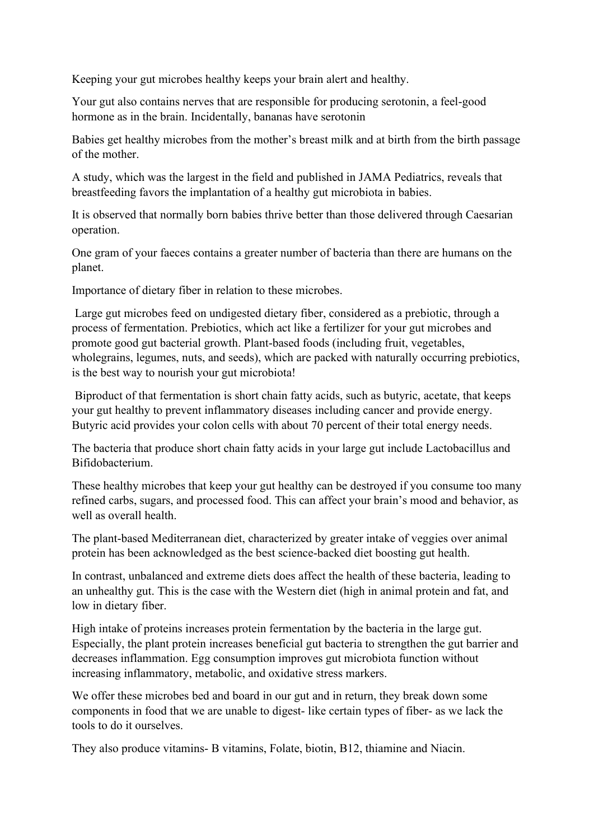Keeping your gut microbes healthy keeps your brain alert and healthy.

Your gut also contains nerves that are responsible for producing serotonin, a feel-good hormone as in the brain. Incidentally, bananas have serotonin

Babies get healthy microbes from the mother's breast milk and at birth from the birth passage of the mother.

A study, which was the largest in the field and published in JAMA Pediatrics, reveals that breastfeeding favors the implantation of a healthy gut microbiota in babies.

It is observed that normally born babies thrive better than those delivered through Caesarian operation.

One gram of your faeces contains a greater number of bacteria than there are humans on the planet.

Importance of dietary fiber in relation to these microbes.

Large gut microbes feed on undigested dietary fiber, considered as a prebiotic, through a process of fermentation. Prebiotics, which act like a fertilizer for your gut microbes and promote good gut bacterial growth. Plant-based foods (including fruit, vegetables, wholegrains, legumes, nuts, and seeds), which are packed with naturally occurring prebiotics, is the best way to nourish your gut microbiota!

Biproduct of that fermentation is short chain fatty acids, such as butyric, acetate, that keeps your gut healthy to prevent inflammatory diseases including cancer and provide energy. Butyric acid provides your colon cells with about 70 percent of their total energy needs.

The bacteria that produce short chain fatty acids in your large gut include Lactobacillus and Bifidobacterium.

These healthy microbes that keep your gut healthy can be destroyed if you consume too many refined carbs, sugars, and processed food. This can affect your brain's mood and behavior, as well as overall health.

The plant-based Mediterranean diet, characterized by greater intake of veggies over animal protein has been acknowledged as the best science-backed diet boosting gut health.

In contrast, unbalanced and extreme diets does affect the health of these bacteria, leading to an unhealthy gut. This is the case with the Western diet (high in animal protein and fat, and low in dietary fiber.

High intake of proteins increases protein fermentation by the bacteria in the large gut. Especially, the plant protein increases beneficial gut bacteria to strengthen the gut barrier and decreases inflammation. Egg consumption improves gut microbiota function without increasing inflammatory, metabolic, and oxidative stress markers.

We offer these microbes bed and board in our gut and in return, they break down some components in food that we are unable to digest- like certain types of fiber- as we lack the tools to do it ourselves.

They also produce vitamins- B vitamins, Folate, biotin, B12, thiamine and Niacin.